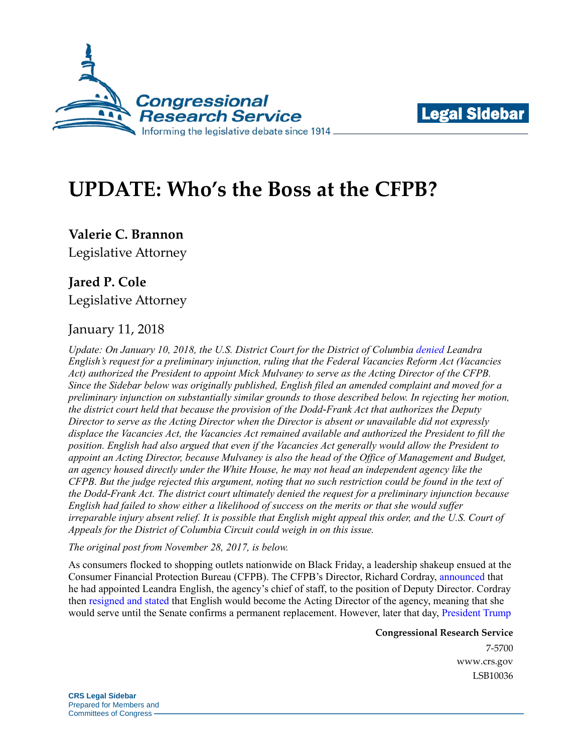



# **UPDATE: Who's the Boss at the CFPB?**

**Valerie C. Brannon** Legislative Attorney

# **Jared P. Cole**

Legislative Attorney

### January 11, 2018

*Update: On January 10, 2018, the U.S. District Court for the District of Columbia [denied](https://assets.documentcloud.org/documents/4346565/1-10-18-English-v-Trump-Opinion.pdf) Leandra English's request for a preliminary injunction, ruling that the Federal Vacancies Reform Act (Vacancies Act) authorized the President to appoint Mick Mulvaney to serve as the Acting Director of the CFPB. Since the Sidebar below was originally published, English filed an amended complaint and moved for a preliminary injunction on substantially similar grounds to those described below. In rejecting her motion, the district court held that because the provision of the Dodd-Frank Act that authorizes the Deputy Director to serve as the Acting Director when the Director is absent or unavailable did not expressly displace the Vacancies Act, the Vacancies Act remained available and authorized the President to fill the position. English had also argued that even if the Vacancies Act generally would allow the President to appoint an Acting Director, because Mulvaney is also the head of the Office of Management and Budget, an agency housed directly under the White House, he may not head an independent agency like the CFPB. But the judge rejected this argument, noting that no such restriction could be found in the text of the Dodd-Frank Act. The district court ultimately denied the request for a preliminary injunction because English had failed to show either a likelihood of success on the merits or that she would suffer irreparable injury absent relief. It is possible that English might appeal this order, and the U.S. Court of Appeals for the District of Columbia Circuit could weigh in on this issue.*

*The original post from November 28, 2017, is below.*

As consumers flocked to shopping outlets nationwide on Black Friday, a leadership shakeup ensued at the Consumer Financial Protection Bureau (CFPB). The CFPB's Director, Richard Cordray, [announced](https://www.consumerfinance.gov/about-us/newsroom/leandra-english-named-deputy-director-consumer-financial-protection-bureau/) that he had appointed Leandra English, the agency's chief of staff, to the position of Deputy Director. Cordray then resigned [and stated](https://www.politico.com/f/?id=0000015f-efff-d90d-a37f-ffff72670000) that English would become the Acting Director of the agency, meaning that she would serve until the Senate confirms a permanent replacement. However, later that day, [President Trump](https://www.whitehouse.gov/the-press-office/2017/11/24/statement-president-donald-j-trumps-designation-omb-director-mick) 

> **Congressional Research Service** 7-5700

[www.crs.gov](http://www.crs.gov/) LSB10036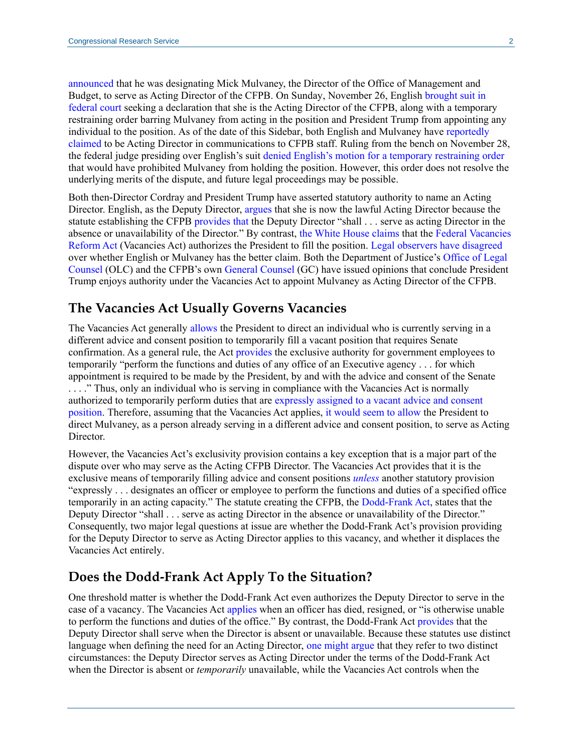[announced](https://www.whitehouse.gov/the-press-office/2017/11/24/statement-president-donald-j-trumps-designation-omb-director-mick) that he was designating Mick Mulvaney, the Director of the Office of Management and Budget, to serve as Acting Director of the CFPB. On Sunday, November 26, English [brought suit in](https://www.scribd.com/document/365590367/CFPB-Deputy-Lawsuit)  [federal court](https://www.scribd.com/document/365590367/CFPB-Deputy-Lawsuit) seeking a declaration that she is the Acting Director of the CFPB, along with a temporary restraining order barring Mulvaney from acting in the position and President Trump from appointing any individual to the position. As of the date of this Sidebar, both English and Mulvaney have [reportedly](https://www.reuters.com/article/us-usa-trump-cfpb-memo/directors-duel-over-control-of-u-s-consumer-protection-agency-idUSKBN1DR1UD)  [claimed](https://www.reuters.com/article/us-usa-trump-cfpb-memo/directors-duel-over-control-of-u-s-consumer-protection-agency-idUSKBN1DR1UD) to be Acting Director in communications to CFPB staff. Ruling from the bench on November 28, the federal judge presiding over English's suit [denied](https://www.usatoday.com/story/news/politics/2017/11/28/judge-rules-mick-mulvaney-remain-interim-headin-leadership-fight-consumer-financial-protection-burea/902173001/) [English's motion for a temporary restraining order](https://www.consumerfinancemonitor.com/wp-content/uploads/sites/14/2017/11/TRO-Memo.pdf) that would have prohibited Mulvaney from holding the position. However, this order does not resolve the underlying merits of the dispute, and future legal proceedings may be possible.

Both then-Director Cordray and President Trump have asserted statutory authority to name an Acting Director. English, as the Deputy Director, [argues](https://www.scribd.com/book/365590367/CFPB-Deputy-Lawsuit) that she is now the lawful Acting Director because the statute establishing the CFPB [provides that](https://www.law.cornell.edu/uscode/text/12/5491#b_5) the Deputy Director "shall . . . serve as acting Director in the absence or unavailability of the Director." By contrast, [the White House](https://www.politico.com/story/2017/11/25/white-house-cfpb-mulvaney-english-trump-190527) [claims](https://assets.documentcloud.org/documents/4311164/document-21392739.pdf) that the [Federal Vacancies](https://fas.org/sgp/crs/misc/R44997.pdf)  [Reform Act](https://fas.org/sgp/crs/misc/R44997.pdf) (Vacancies Act) authorizes the President to fill the position. [Legal](https://balkin.blogspot.com/2017/11/understanding-legal-dispute-at-center.html) [observers](http://yalejreg.com/nc/more-thoughts-on-the-cfpb-puzzle-president-trump-can-select-someone-to-run-the-cfpb-only-if-the-senate-has-an-opportunity-to-confirm-by-nina-a-mendelson/) [have](https://medium.com/whatever-source-derived/for-better-or-worse-and-probably-for-worse-mick-mulvaney-is-indeed-the-acting-director-of-the-aa2c71505d35) [disagreed](http://www.creditslips.org/creditslips/2017/11/cfpb-directorship-succession-what-legislative-history-tells-us.html) over whether English or Mulvaney has the better claim. Both the Department of Justice's [Office of Legal](https://www.justice.gov/sites/default/files/opinions/attachments/2017/11/25/cfpb_acting_director_olc_op_0.pdf)  [Counsel](https://www.justice.gov/sites/default/files/opinions/attachments/2017/11/25/cfpb_acting_director_olc_op_0.pdf) (OLC) and the CFPB's own [General Counsel](https://assets.documentcloud.org/documents/4310651/McLeod-Memo-CFPB.pdf) (GC) have issued opinions that conclude President Trump enjoys authority under the Vacancies Act to appoint Mulvaney as Acting Director of the CFPB.

#### **The Vacancies Act Usually Governs Vacancies**

The Vacancies Act generally [allows](https://www.law.cornell.edu/uscode/text/5/3345#a) the President to direct an individual who is currently serving in a different advice and consent position to temporarily fill a vacant position that requires Senate confirmation. As a general rule, the Act [provides](https://www.law.cornell.edu/uscode/text/5/3347) the exclusive authority for government employees to temporarily "perform the functions and duties of any office of an Executive agency . . . for which appointment is required to be made by the President, by and with the advice and consent of the Senate . . . ." Thus, only an individual who is serving in compliance with the Vacancies Act is normally authorized to temporarily perform duties that are [expressly assigned to a vacant advice and consent](https://fas.org/sgp/crs/misc/R44997.pdf)  [position.](https://fas.org/sgp/crs/misc/R44997.pdf) Therefore, assuming that the Vacancies Act applies, [it would seem to allow](https://www.law.cornell.edu/uscode/text/5/3345#a_2) the President to direct Mulvaney, as a person already serving in a different advice and consent position, to serve as Acting Director.

However, the Vacancies Act's exclusivity provision contains a key exception that is a major part of the dispute over who may serve as the Acting CFPB Director. The Vacancies Act provides that it is the exclusive means of temporarily filling advice and consent positions *[unless](https://www.law.cornell.edu/uscode/text/5/3347#a_1)* another statutory provision "expressly . . . designates an officer or employee to perform the functions and duties of a specified office temporarily in an acting capacity." The statute creating the CFPB, the [Dodd-Frank Act,](https://www.law.cornell.edu/uscode/text/12/5491#b_5) states that the Deputy Director "shall . . . serve as acting Director in the absence or unavailability of the Director." Consequently, two major legal questions at issue are whether the Dodd-Frank Act's provision providing for the Deputy Director to serve as Acting Director applies to this vacancy, and whether it displaces the Vacancies Act entirely.

#### **Does the Dodd-Frank Act Apply To the Situation?**

One threshold matter is whether the Dodd-Frank Act even authorizes the Deputy Director to serve in the case of a vacancy. The Vacancies Act [applies](https://www.law.cornell.edu/uscode/text/5/3345) when an officer has died, resigned, or "is otherwise unable to perform the functions and duties of the office." By contrast, the Dodd-Frank Act [provides](https://www.law.cornell.edu/uscode/text/12/5491#b_5) that the Deputy Director shall serve when the Director is absent or unavailable. Because these statutes use distinct language when defining the need for an Acting Director, [one might argue](https://assets.documentcloud.org/documents/4310651/McLeod-Memo-CFPB.pdf) that they refer to two distinct circumstances: the Deputy Director serves as Acting Director under the terms of the Dodd-Frank Act when the Director is absent or *temporarily* unavailable, while the Vacancies Act controls when the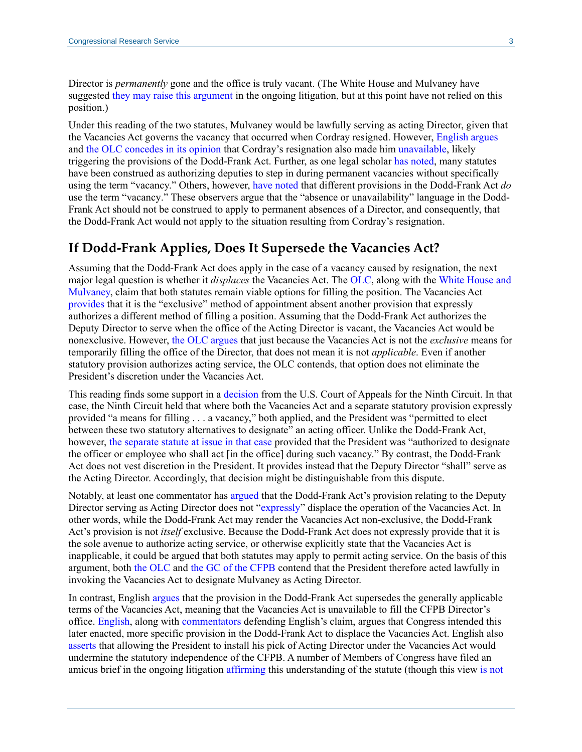Director is *permanently* gone and the office is truly vacant. (The White House and Mulvaney have suggested [they may raise this argument](https://assets.documentcloud.org/documents/4311164/document-21392739.pdf#page=13) in the ongoing litigation, but at this point have not relied on this position.)

Under this reading of the two statutes, Mulvaney would be lawfully serving as acting Director, given that the Vacancies Act governs the vacancy that occurred when Cordray resigned. However, [English argues](https://www.consumerfinancemonitor.com/wp-content/uploads/sites/14/2017/11/TRO-Memo.pdf#page=2) and [the OLC concedes in its opinion](https://www.justice.gov/sites/default/files/opinions/attachments/2017/11/25/cfpb_acting_director_olc_op_0.pdf#page=3) that Cordray's resignation also made him [unavailable,](https://www.law.cornell.edu/uscode/text/12/5491#b_5) likely triggering the provisions of the Dodd-Frank Act. Further, as one legal scholar [has noted,](http://yalejreg.com/nc/more-thoughts-on-the-cfpb-puzzle-president-trump-can-select-someone-to-run-the-cfpb-only-if-the-senate-has-an-opportunity-to-confirm-by-nina-a-mendelson/) many statutes have been construed as authorizing deputies to step in during permanent vacancies without specifically using the term "vacancy." Others, however, have [noted](https://www.natlawreview.com/article/another-argument-why-mick-mulvaney-cfpb-acting-director) that different provisions in the Dodd-Frank Act *do* use the term "vacancy." These observers argue that the "absence or unavailability" language in the Dodd-Frank Act should not be construed to apply to permanent absences of a Director, and consequently, that the Dodd-Frank Act would not apply to the situation resulting from Cordray's resignation.

#### **If Dodd-Frank Applies, Does It Supersede the Vacancies Act?**

Assuming that the Dodd-Frank Act does apply in the case of a vacancy caused by resignation, the next major legal question is whether it *displaces* the Vacancies Act. The [OLC,](https://www.justice.gov/sites/default/files/opinions/attachments/2017/11/25/cfpb_acting_director_olc_op_0.pdf#page=8) along with th[e White House and](https://assets.documentcloud.org/documents/4311164/document-21392739.pdf#page=11)  [Mulvaney,](https://assets.documentcloud.org/documents/4311164/document-21392739.pdf#page=11) claim that both statutes remain viable options for filling the position. The Vacancies Act [provides](https://www.law.cornell.edu/uscode/text/5/3347#a) that it is the "exclusive" method of appointment absent another provision that expressly authorizes a different method of filling a position. Assuming that the Dodd-Frank Act authorizes the Deputy Director to serve when the office of the Acting Director is vacant, the Vacancies Act would be nonexclusive. However, [the OLC argues](https://www.justice.gov/sites/default/files/opinions/attachments/2017/11/25/cfpb_acting_director_olc_op_0.pdf#page=4) that just because the Vacancies Act is not the *exclusive* means for temporarily filling the office of the Director, that does not mean it is not *applicable*. Even if another statutory provision authorizes acting service, the OLC contends, that option does not eliminate the President's discretion under the Vacancies Act.

This reading finds some support in a [decision](http://caselaw.findlaw.com/us-9th-circuit/1728055.html) from the U.S. Court of Appeals for the Ninth Circuit. In that case, the Ninth Circuit held that where both the Vacancies Act and a separate statutory provision expressly provided "a means for filling . . . a vacancy," both applied, and the President was "permitted to elect between these two statutory alternatives to designate" an acting officer. Unlike the Dodd-Frank Act, however, [the separate statute at issue in that case](https://www.law.cornell.edu/uscode/text/29/153#d) provided that the President was "authorized to designate the officer or employee who shall act [in the office] during such vacancy." By contrast, the Dodd-Frank Act does not vest discretion in the President. It provides instead that the Deputy Director "shall" serve as the Acting Director. Accordingly, that decision might be distinguishable from this dispute.

Notably, at least one commentator has [argued](https://medium.com/whatever-source-derived/for-better-or-worse-and-probably-for-worse-mick-mulvaney-is-indeed-the-acting-director-of-the-aa2c71505d35) that the Dodd-Frank Act's provision relating to the Deputy Director serving as Acting Director does not ["expressly"](https://www.law.cornell.edu/uscode/text/12/5491#a) displace the operation of the Vacancies Act. In other words, while the Dodd-Frank Act may render the Vacancies Act non-exclusive, the Dodd-Frank Act's provision is not *itself* exclusive. Because the Dodd-Frank Act does not expressly provide that it is the sole avenue to authorize acting service, or otherwise explicitly state that the Vacancies Act is inapplicable, it could be argued that both statutes may apply to permit acting service. On the basis of this argument, both [the OLC](https://www.justice.gov/sites/default/files/opinions/attachments/2017/11/25/cfpb_acting_director_olc_op_0.pdf#page=6) and [the GC of the CFPB](https://assets.documentcloud.org/documents/4310651/McLeod-Memo-CFPB.pdf#page=2) contend that the President therefore acted lawfully in invoking the Vacancies Act to designate Mulvaney as Acting Director.

In contrast, English [argues](https://www.scribd.com/document/365590367/CFPB-Deputy-Lawsuit) that the provision in the Dodd-Frank Act supersedes the generally applicable terms of the Vacancies Act, meaning that the Vacancies Act is unavailable to fill the CFPB Director's office. [English,](https://www.consumerfinancemonitor.com/wp-content/uploads/sites/14/2017/11/TRO-Memo.pdf#page=4) along with [commentators](https://takecareblog.com/blog/not-so-fast-mr-president) defending English's claim, argues that Congress intended this later enacted, more specific provision in the Dodd-Frank Act to displace the Vacancies Act. English also [asserts](https://www.consumerfinancemonitor.com/wp-content/uploads/sites/14/2017/11/TRO-Memo.pdf#page=8) that allowing the President to install his pick of Acting Director under the Vacancies Act would undermine the statutory independence of the CFPB. A number of Members of Congress have filed an amicus brief in the ongoing litigation [affirming](https://democrats-financialservices.house.gov/uploadedfiles/11.27.2017_cfpb_amicus_brief.pdf#page=8) this understanding of the statute (though this view [is not](https://www.politico.com/story/2017/11/26/graham-durbin-consumer-protection-agency-259969)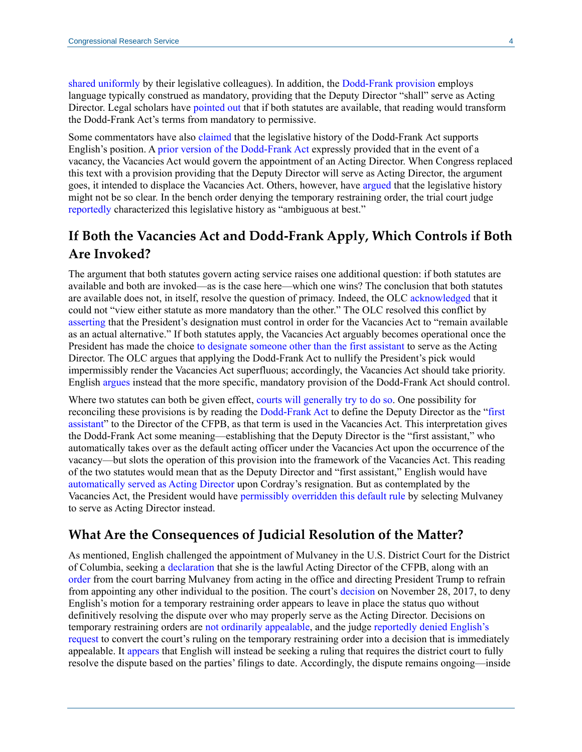[shared uniformly](https://www.politico.com/story/2017/11/26/graham-durbin-consumer-protection-agency-259969) by their legislative colleagues). In addition, the [Dodd-Frank provision](https://www.law.cornell.edu/uscode/text/12/5491#b_5) employs language typically construed as mandatory, providing that the Deputy Director "shall" serve as Acting Director. Legal scholars have [pointed out](http://yalejreg.com/nc/more-thoughts-on-the-cfpb-puzzle-president-trump-can-select-someone-to-run-the-cfpb-only-if-the-senate-has-an-opportunity-to-confirm-by-nina-a-mendelson/) that if both statutes are available, that reading would transform the Dodd-Frank Act's terms from mandatory to permissive.

Some commentators have also [claimed](http://www.creditslips.org/creditslips/2017/11/cfpb-directorship-succession-what-legislative-history-tells-us.html) that the legislative history of the Dodd-Frank Act supports English's position. [A prior version of the Dodd-Frank Act](https://www.gpo.gov/fdsys/pkg/BILLS-111hr4173rfs/pdf/BILLS-111hr4173rfs.pdf#page=824) expressly provided that in the event of a vacancy, the Vacancies Act would govern the appointment of an Acting Director. When Congress replaced this text with a provision providing that the Deputy Director will serve as Acting Director, the argument goes, it intended to displace the Vacancies Act. Others, however, have [argued](https://www.natlawreview.com/article/another-argument-why-mick-mulvaney-cfpb-acting-director) that the legislative history might not be so clear. In the bench order denying the temporary restraining order, the trial court judge [reportedly](https://twitter.com/cryanbarber/status/935635190164152326) characterized this legislative history as "ambiguous at best."

## **If Both the Vacancies Act and Dodd-Frank Apply, Which Controls if Both Are Invoked?**

The argument that both statutes govern acting service raises one additional question: if both statutes are available and both are invoked—as is the case here—which one wins? The conclusion that both statutes are available does not, in itself, resolve the question of primacy. Indeed, the OL[C acknowledged](https://www.justice.gov/sites/default/files/opinions/attachments/2017/11/25/cfpb_acting_director_olc_op_0.pdf#page=5) that it could not "view either statute as more mandatory than the other." The OLC resolved this conflict by [asserting](https://www.justice.gov/sites/default/files/opinions/attachments/2017/11/25/cfpb_acting_director_olc_op_0.pdf#page=6) that the President's designation must control in order for the Vacancies Act to "remain available as an actual alternative." If both statutes apply, the Vacancies Act arguably becomes operational once the President has made the choice [to designate someone other than the first assistant](https://www.law.cornell.edu/uscode/text/5/3345#a_2) to serve as the Acting Director. The OLC argues that applying the Dodd-Frank Act to nullify the President's pick would impermissibly render the Vacancies Act superfluous; accordingly, the Vacancies Act should take priority. English [argues](https://www.consumerfinancemonitor.com/wp-content/uploads/sites/14/2017/11/TRO-Memo.pdf#page=4) instead that the more specific, mandatory provision of the Dodd-Frank Act should control.

Where two statutes can both be given effect, [courts will generally try to do so.](http://yalejreg.com/nc/at-the-cfpb-cordray-creates-one-last-cloud-of-controversy/) One possibility for reconciling these provisions is by reading the [Dodd-Frank Act](https://www.law.cornell.edu/uscode/text/12/5491#b_5) to define the Deputy Director as the ["first](https://www.law.cornell.edu/uscode/text/5/3345#a_1)  [assistant"](https://www.law.cornell.edu/uscode/text/5/3345#a_1) to the Director of the CFPB, as that term is used in the Vacancies Act. This interpretation gives the Dodd-Frank Act some meaning—establishing that the Deputy Director is the "first assistant," who automatically takes over as the default acting officer under the Vacancies Act upon the occurrence of the vacancy—but slots the operation of this provision into the framework of the Vacancies Act. This reading of the two statutes would mean that as the Deputy Director and "first assistant," English would have [automatically served as Acting Director](https://www.law.cornell.edu/uscode/text/5/3345#a_1) upon Cordray's resignation. But as contemplated by the Vacancies Act, the President would have [permissibly overridden this default rule](https://www.law.cornell.edu/uscode/text/5/3345#a_2) by selecting Mulvaney to serve as Acting Director instead.

#### **What Are the Consequences of Judicial Resolution of the Matter?**

As mentioned, English challenged the appointment of Mulvaney in the U.S. District Court for the District of Columbia, seeking a [declaration](https://www.scribd.com/document/365590367/CFPB-Deputy-Lawsuit) that she is the lawful Acting Director of the CFPB, along with an [order](https://www.consumerfinancemonitor.com/wp-content/uploads/sites/14/2017/11/TRO-Memo.pdf) from the court barring Mulvaney from acting in the office and directing President Trump to refrain from appointing any other individual to the position. The court's [decision](https://www.cnbc.com/2017/11/28/court-decision-leaves-white-houses-mulvaney-in-place-as-acting-head-of-cfpb.html) on November 28, 2017, to deny English's motion for a temporary restraining order appears to leave in place the status quo without definitively resolving the dispute over who may properly serve as the Acting Director. Decisions on temporary restraining orders are [not ordinarily appealable,](https://apps.americanbar.org/litigation/litigationnews/trial_skills/110315-tips-decisions-appeal.html) and the judge [reportedly denied](https://www.law360.com/publicpolicy/articles/989060/mulvaney-stays-cfpb-chief-as-judge-denies-injunction?nl_pk=77a8fbcd-0ce9-4d0f-a0ac-3a4c7fd100a8) English's [request](http://www.crs.gov/products/Documents/CFPB_sched_order/pdf) to convert the court's ruling on the temporary restraining order into a decision that is immediately appealable. It [appears](https://www.law360.com/publicpolicy/articles/989060/mulvaney-stays-cfpb-chief-as-judge-denies-injunction?nl_pk=77a8fbcd-0ce9-4d0f-a0ac-3a4c7fd100a8) that English will instead be seeking a ruling that requires the district court to fully resolve the dispute based on the parties' filings to date. Accordingly, the dispute remains ongoing—inside